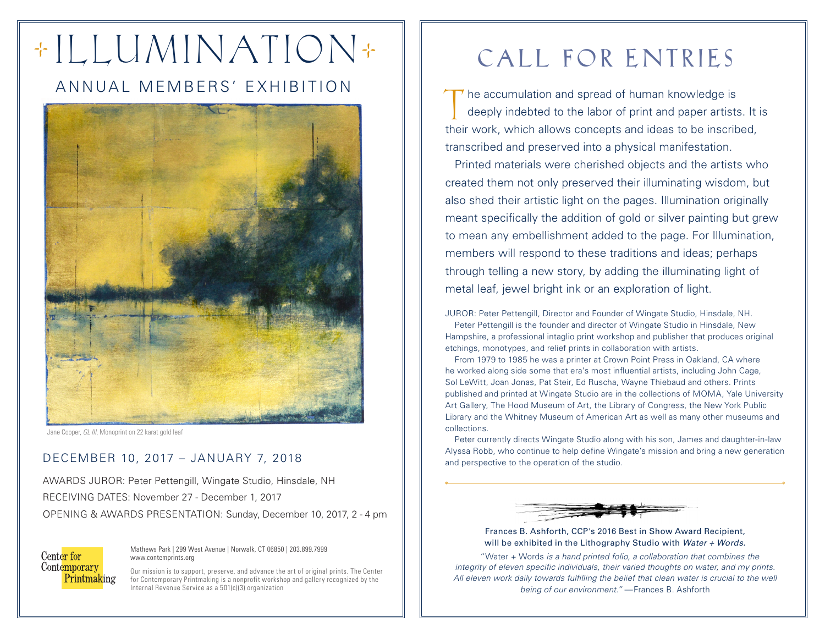# + I LLUMINATION +

## ANNUAL MEMBERS' EXHIBITION



Jane Cooper, *GL III*, Monoprint on 22 karat gold leaf

#### DECEMBER 10, 2017 – JANUARY 7, 2018

AWARDS JUROR: Peter Pettengill, Wingate Studio, Hinsdale, NH RECEIVING DATES: November 27 - December 1, 2017 OPENING & AWARDS PRESENTATION: Sunday, December 10, 2017, 2 - 4 pm

Center for Contemporary **Printmaking** 

Mathews Park | 299 West Avenue | Norwalk, CT 06850 | 203.899.7999 www.contemprints.org

Our mission is to support, preserve, and advance the art of original prints. The Center for Contemporary Printmaking is a nonprofit workshop and gallery recognized by the Internal Revenue Service as a 501(c)(3) organization

# CALL FOR ENTRIES

he accumulation and spread of human knowledge is deeply indebted to the labor of print and paper artists. It is The accumulation and spread of human knowledge is<br>deeply indebted to the labor of print and paper artists. It<br>their work, which allows concepts and ideas to be inscribed, transcribed and preserved into a physical manifestation.

Printed materials were cherished objects and the artists who created them not only preserved their illuminating wisdom, but also shed their artistic light on the pages. Illumination originally meant specifically the addition of gold or silver painting but grew to mean any embellishment added to the page. For Illumination, members will respond to these traditions and ideas; perhaps through telling a new story, by adding the illuminating light of metal leaf, jewel bright ink or an exploration of light.

JUROR: Peter Pettengill, Director and Founder of Wingate Studio, Hinsdale, NH.

Peter Pettengill is the founder and director of Wingate Studio in Hinsdale, New Hampshire, a professional intaglio print workshop and publisher that produces original etchings, monotypes, and relief prints in collaboration with artists.

From 1979 to 1985 he was a printer at Crown Point Press in Oakland, CA where he worked along side some that era's most influential artists, including John Cage, Sol LeWitt, Joan Jonas, Pat Steir, Ed Ruscha, Wayne Thiebaud and others. Prints published and printed at Wingate Studio are in the collections of MOMA, Yale University Art Gallery, The Hood Museum of Art, the Library of Congress, the New York Public Library and the Whitney Museum of American Art as well as many other museums and collections.

Peter currently directs Wingate Studio along with his son, James and daughter-in-law Alyssa Robb, who continue to help define Wingate's mission and bring a new generation and perspective to the operation of the studio.



Frances B. Ashforth, CCP's 2016 Best in Show Award Recipient, will be exhibited in the Lithography Studio with *Water + Words.*

"Water + Words *is a hand printed folio, a collaboration that combines the integrity of eleven specific individuals, their varied thoughts on water, and my prints.*  All eleven work daily towards fulfilling the belief that clean water is crucial to the well *being of our environment."* —Frances B. Ashforth